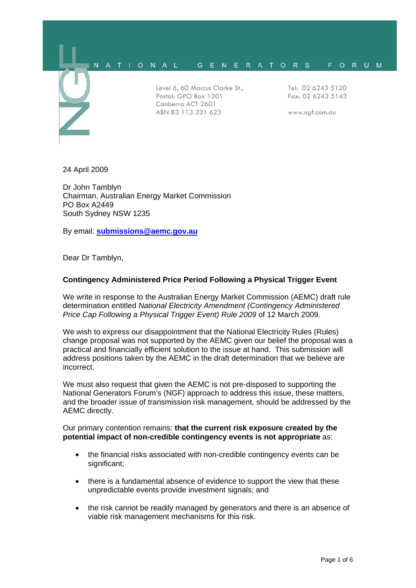

24 April 2009

Dr John Tamblyn Chairman, Australian Energy Market Commission PO Box A2449 South Sydney NSW 1235

By email: **submissions@aemc.gov.au**

Dear Dr Tamblyn,

# **Contingency Administered Price Period Following a Physical Trigger Event**

We write in response to the Australian Energy Market Commission (AEMC) draft rule determination entitled *National Electricity Amendment (Contingency Administered Price Cap Following a Physical Trigger Event) Rule 2009* of 12 March 2009.

We wish to express our disappointment that the National Electricity Rules (Rules) change proposal was not supported by the AEMC given our belief the proposal was a practical and financially efficient solution to the issue at hand. This submission will address positions taken by the AEMC in the draft determination that we believe are incorrect.

We must also request that given the AEMC is not pre-disposed to supporting the National Generators Forum's (NGF) approach to address this issue, these matters, and the broader issue of transmission risk management, should be addressed by the AEMC directly.

# Our primary contention remains: **that the current risk exposure created by the potential impact of non-credible contingency events is not appropriate** as:

- the financial risks associated with non-credible contingency events can be significant;
- there is a fundamental absence of evidence to support the view that these unpredictable events provide investment signals; and
- the risk cannot be readily managed by generators and there is an absence of viable risk management mechanisms for this risk.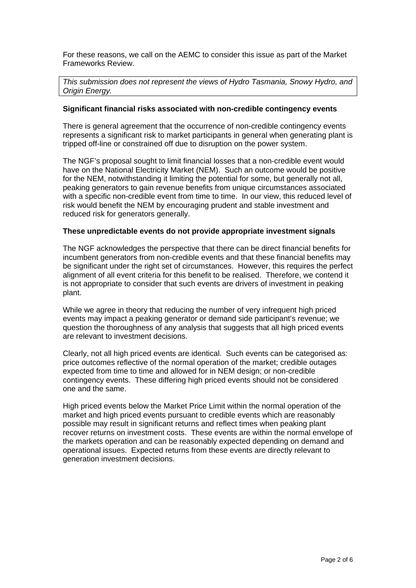For these reasons, we call on the AEMC to consider this issue as part of the Market Frameworks Review.

*This submission does not represent the views of Hydro Tasmania, Snowy Hydro, and Origin Energy.* 

# **Significant financial risks associated with non-credible contingency events**

There is general agreement that the occurrence of non-credible contingency events represents a significant risk to market participants in general when generating plant is tripped off-line or constrained off due to disruption on the power system.

The NGF's proposal sought to limit financial losses that a non-credible event would have on the National Electricity Market (NEM). Such an outcome would be positive for the NEM, notwithstanding it limiting the potential for some, but generally not all, peaking generators to gain revenue benefits from unique circumstances associated with a specific non-credible event from time to time. In our view, this reduced level of risk would benefit the NEM by encouraging prudent and stable investment and reduced risk for generators generally.

# **These unpredictable events do not provide appropriate investment signals**

The NGF acknowledges the perspective that there can be direct financial benefits for incumbent generators from non-credible events and that these financial benefits may be significant under the right set of circumstances. However, this requires the perfect alignment of all event criteria for this benefit to be realised. Therefore, we contend it is not appropriate to consider that such events are drivers of investment in peaking plant.

While we agree in theory that reducing the number of very infrequent high priced events may impact a peaking generator or demand side participant's revenue; we question the thoroughness of any analysis that suggests that all high priced events are relevant to investment decisions.

Clearly, not all high priced events are identical. Such events can be categorised as: price outcomes reflective of the normal operation of the market; credible outages expected from time to time and allowed for in NEM design; or non-credible contingency events. These differing high priced events should not be considered one and the same.

High priced events below the Market Price Limit within the normal operation of the market and high priced events pursuant to credible events which are reasonably possible may result in significant returns and reflect times when peaking plant recover returns on investment costs. These events are within the normal envelope of the markets operation and can be reasonably expected depending on demand and operational issues. Expected returns from these events are directly relevant to generation investment decisions.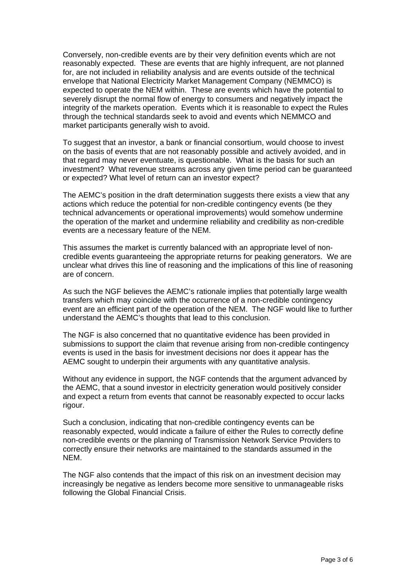Conversely, non-credible events are by their very definition events which are not reasonably expected. These are events that are highly infrequent, are not planned for, are not included in reliability analysis and are events outside of the technical envelope that National Electricity Market Management Company (NEMMCO) is expected to operate the NEM within. These are events which have the potential to severely disrupt the normal flow of energy to consumers and negatively impact the integrity of the markets operation. Events which it is reasonable to expect the Rules through the technical standards seek to avoid and events which NEMMCO and market participants generally wish to avoid.

To suggest that an investor, a bank or financial consortium, would choose to invest on the basis of events that are not reasonably possible and actively avoided, and in that regard may never eventuate, is questionable. What is the basis for such an investment? What revenue streams across any given time period can be guaranteed or expected? What level of return can an investor expect?

The AEMC's position in the draft determination suggests there exists a view that any actions which reduce the potential for non-credible contingency events (be they technical advancements or operational improvements) would somehow undermine the operation of the market and undermine reliability and credibility as non-credible events are a necessary feature of the NEM.

This assumes the market is currently balanced with an appropriate level of noncredible events guaranteeing the appropriate returns for peaking generators. We are unclear what drives this line of reasoning and the implications of this line of reasoning are of concern.

As such the NGF believes the AEMC's rationale implies that potentially large wealth transfers which may coincide with the occurrence of a non-credible contingency event are an efficient part of the operation of the NEM. The NGF would like to further understand the AEMC's thoughts that lead to this conclusion.

The NGF is also concerned that no quantitative evidence has been provided in submissions to support the claim that revenue arising from non-credible contingency events is used in the basis for investment decisions nor does it appear has the AEMC sought to underpin their arguments with any quantitative analysis.

Without any evidence in support, the NGF contends that the argument advanced by the AEMC, that a sound investor in electricity generation would positively consider and expect a return from events that cannot be reasonably expected to occur lacks rigour.

Such a conclusion, indicating that non-credible contingency events can be reasonably expected, would indicate a failure of either the Rules to correctly define non-credible events or the planning of Transmission Network Service Providers to correctly ensure their networks are maintained to the standards assumed in the NEM.

The NGF also contends that the impact of this risk on an investment decision may increasingly be negative as lenders become more sensitive to unmanageable risks following the Global Financial Crisis.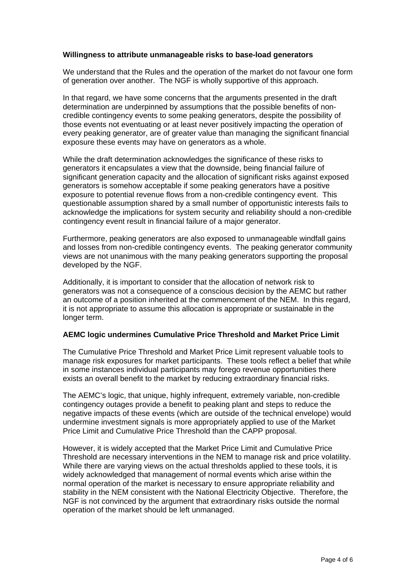# **Willingness to attribute unmanageable risks to base-load generators**

We understand that the Rules and the operation of the market do not favour one form of generation over another. The NGF is wholly supportive of this approach.

In that regard, we have some concerns that the arguments presented in the draft determination are underpinned by assumptions that the possible benefits of noncredible contingency events to some peaking generators, despite the possibility of those events not eventuating or at least never positively impacting the operation of every peaking generator, are of greater value than managing the significant financial exposure these events may have on generators as a whole.

While the draft determination acknowledges the significance of these risks to generators it encapsulates a view that the downside, being financial failure of significant generation capacity and the allocation of significant risks against exposed generators is somehow acceptable if some peaking generators have a positive exposure to potential revenue flows from a non-credible contingency event. This questionable assumption shared by a small number of opportunistic interests fails to acknowledge the implications for system security and reliability should a non-credible contingency event result in financial failure of a major generator.

Furthermore, peaking generators are also exposed to unmanageable windfall gains and losses from non-credible contingency events. The peaking generator community views are not unanimous with the many peaking generators supporting the proposal developed by the NGF.

Additionally, it is important to consider that the allocation of network risk to generators was not a consequence of a conscious decision by the AEMC but rather an outcome of a position inherited at the commencement of the NEM. In this regard, it is not appropriate to assume this allocation is appropriate or sustainable in the longer term.

# **AEMC logic undermines Cumulative Price Threshold and Market Price Limit**

The Cumulative Price Threshold and Market Price Limit represent valuable tools to manage risk exposures for market participants. These tools reflect a belief that while in some instances individual participants may forego revenue opportunities there exists an overall benefit to the market by reducing extraordinary financial risks.

The AEMC's logic, that unique, highly infrequent, extremely variable, non-credible contingency outages provide a benefit to peaking plant and steps to reduce the negative impacts of these events (which are outside of the technical envelope) would undermine investment signals is more appropriately applied to use of the Market Price Limit and Cumulative Price Threshold than the CAPP proposal.

However, it is widely accepted that the Market Price Limit and Cumulative Price Threshold are necessary interventions in the NEM to manage risk and price volatility. While there are varying views on the actual thresholds applied to these tools, it is widely acknowledged that management of normal events which arise within the normal operation of the market is necessary to ensure appropriate reliability and stability in the NEM consistent with the National Electricity Objective. Therefore, the NGF is not convinced by the argument that extraordinary risks outside the normal operation of the market should be left unmanaged.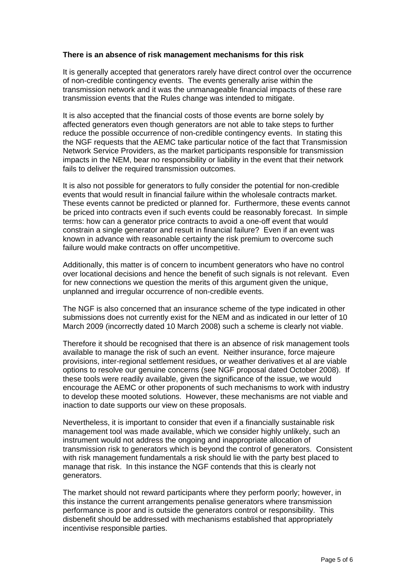# **There is an absence of risk management mechanisms for this risk**

It is generally accepted that generators rarely have direct control over the occurrence of non-credible contingency events. The events generally arise within the transmission network and it was the unmanageable financial impacts of these rare transmission events that the Rules change was intended to mitigate.

It is also accepted that the financial costs of those events are borne solely by affected generators even though generators are not able to take steps to further reduce the possible occurrence of non-credible contingency events. In stating this the NGF requests that the AEMC take particular notice of the fact that Transmission Network Service Providers, as the market participants responsible for transmission impacts in the NEM, bear no responsibility or liability in the event that their network fails to deliver the required transmission outcomes.

It is also not possible for generators to fully consider the potential for non-credible events that would result in financial failure within the wholesale contracts market. These events cannot be predicted or planned for. Furthermore, these events cannot be priced into contracts even if such events could be reasonably forecast. In simple terms: how can a generator price contracts to avoid a one-off event that would constrain a single generator and result in financial failure? Even if an event was known in advance with reasonable certainty the risk premium to overcome such failure would make contracts on offer uncompetitive.

Additionally, this matter is of concern to incumbent generators who have no control over locational decisions and hence the benefit of such signals is not relevant. Even for new connections we question the merits of this argument given the unique, unplanned and irregular occurrence of non-credible events.

The NGF is also concerned that an insurance scheme of the type indicated in other submissions does not currently exist for the NEM and as indicated in our letter of 10 March 2009 (incorrectly dated 10 March 2008) such a scheme is clearly not viable.

Therefore it should be recognised that there is an absence of risk management tools available to manage the risk of such an event. Neither insurance, force majeure provisions, inter-regional settlement residues, or weather derivatives et al are viable options to resolve our genuine concerns (see NGF proposal dated October 2008). If these tools were readily available, given the significance of the issue, we would encourage the AEMC or other proponents of such mechanisms to work with industry to develop these mooted solutions. However, these mechanisms are not viable and inaction to date supports our view on these proposals.

Nevertheless, it is important to consider that even if a financially sustainable risk management tool was made available, which we consider highly unlikely, such an instrument would not address the ongoing and inappropriate allocation of transmission risk to generators which is beyond the control of generators. Consistent with risk management fundamentals a risk should lie with the party best placed to manage that risk. In this instance the NGF contends that this is clearly not generators.

The market should not reward participants where they perform poorly; however, in this instance the current arrangements penalise generators where transmission performance is poor and is outside the generators control or responsibility. This disbenefit should be addressed with mechanisms established that appropriately incentivise responsible parties.